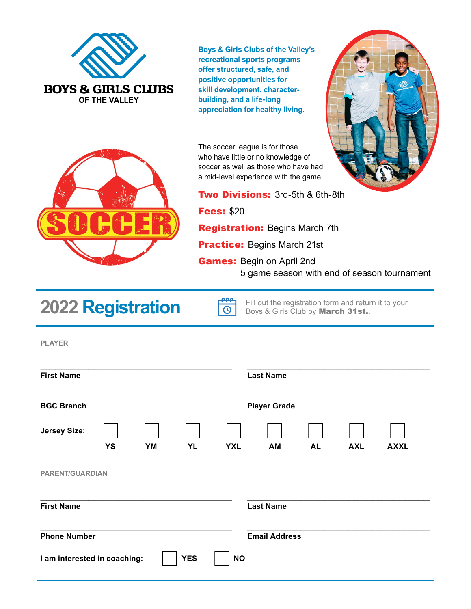

**Boys & Girls Clubs of the Valley's recreational sports programs offer structured, safe, and positive opportunities for skill development, characterbuilding, and a life-long appreciation for healthy living.** 



The soccer league is for those who have little or no knowledge of soccer as well as those who have had a mid-level experience with the game.

Two Divisions: 3rd-5th & 6th-8th

**Fees: \$20** 

**Registration: Begins March 7th** 

**Practice: Begins March 21st** 

**Games:** Begin on April 2nd 5 game season with end of season tournament

# **2022 Registration** Fill out the registration form and return it to your

Boys & Girls Club by March 31st..

#### **PLAYER**

| <b>First Name</b><br><b>BGC Branch</b> |  |  |            |           | <b>Last Name</b><br><b>Player Grade</b> |  |  |  |
|----------------------------------------|--|--|------------|-----------|-----------------------------------------|--|--|--|
|                                        |  |  |            |           |                                         |  |  |  |
| <b>PARENT/GUARDIAN</b>                 |  |  |            |           |                                         |  |  |  |
| <b>First Name</b>                      |  |  |            |           | <b>Last Name</b>                        |  |  |  |
| <b>Phone Number</b>                    |  |  |            |           | <b>Email Address</b>                    |  |  |  |
| I am interested in coaching:           |  |  | <b>YES</b> | <b>NO</b> |                                         |  |  |  |